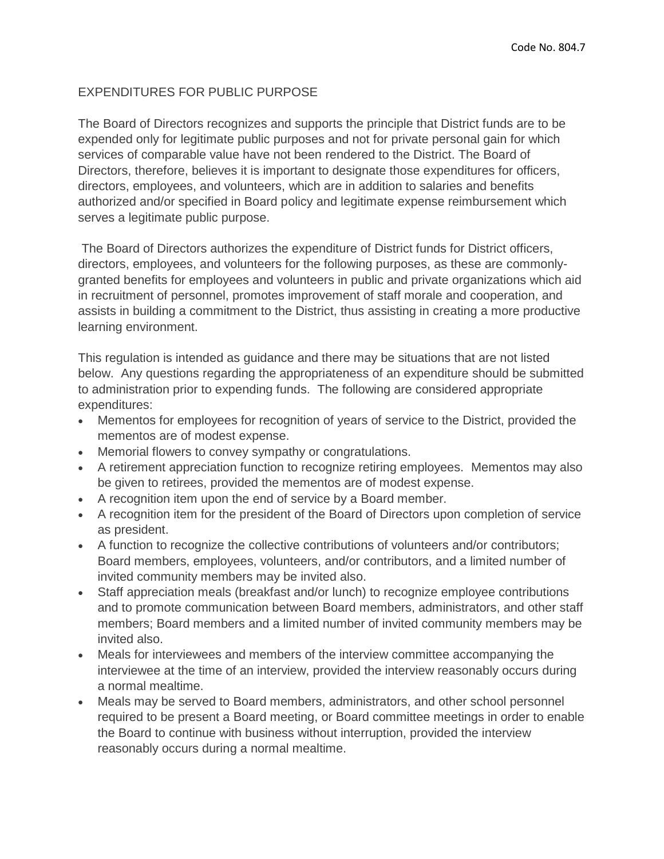## EXPENDITURES FOR PUBLIC PURPOSE

The Board of Directors recognizes and supports the principle that District funds are to be expended only for legitimate public purposes and not for private personal gain for which services of comparable value have not been rendered to the District. The Board of Directors, therefore, believes it is important to designate those expenditures for officers, directors, employees, and volunteers, which are in addition to salaries and benefits authorized and/or specified in Board policy and legitimate expense reimbursement which serves a legitimate public purpose.

The Board of Directors authorizes the expenditure of District funds for District officers, directors, employees, and volunteers for the following purposes, as these are commonlygranted benefits for employees and volunteers in public and private organizations which aid in recruitment of personnel, promotes improvement of staff morale and cooperation, and assists in building a commitment to the District, thus assisting in creating a more productive learning environment.

This regulation is intended as guidance and there may be situations that are not listed below. Any questions regarding the appropriateness of an expenditure should be submitted to administration prior to expending funds. The following are considered appropriate expenditures:

- Mementos for employees for recognition of years of service to the District, provided the mementos are of modest expense.
- Memorial flowers to convey sympathy or congratulations.
- A retirement appreciation function to recognize retiring employees. Mementos may also be given to retirees, provided the mementos are of modest expense.
- A recognition item upon the end of service by a Board member.
- A recognition item for the president of the Board of Directors upon completion of service as president.
- A function to recognize the collective contributions of volunteers and/or contributors; Board members, employees, volunteers, and/or contributors, and a limited number of invited community members may be invited also.
- Staff appreciation meals (breakfast and/or lunch) to recognize employee contributions and to promote communication between Board members, administrators, and other staff members; Board members and a limited number of invited community members may be invited also.
- Meals for interviewees and members of the interview committee accompanying the interviewee at the time of an interview, provided the interview reasonably occurs during a normal mealtime.
- Meals may be served to Board members, administrators, and other school personnel required to be present a Board meeting, or Board committee meetings in order to enable the Board to continue with business without interruption, provided the interview reasonably occurs during a normal mealtime.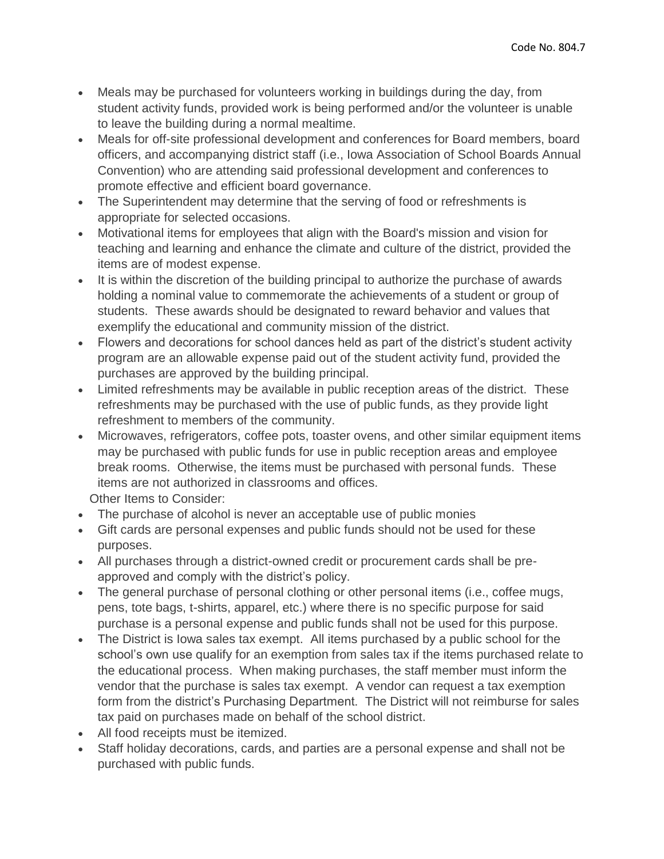- Meals may be purchased for volunteers working in buildings during the day, from student activity funds, provided work is being performed and/or the volunteer is unable to leave the building during a normal mealtime.
- Meals for off-site professional development and conferences for Board members, board officers, and accompanying district staff (i.e., Iowa Association of School Boards Annual Convention) who are attending said professional development and conferences to promote effective and efficient board governance.
- The Superintendent may determine that the serving of food or refreshments is appropriate for selected occasions.
- Motivational items for employees that align with the Board's mission and vision for teaching and learning and enhance the climate and culture of the district, provided the items are of modest expense.
- It is within the discretion of the building principal to authorize the purchase of awards holding a nominal value to commemorate the achievements of a student or group of students. These awards should be designated to reward behavior and values that exemplify the educational and community mission of the district.
- Flowers and decorations for school dances held as part of the district's student activity program are an allowable expense paid out of the student activity fund, provided the purchases are approved by the building principal.
- Limited refreshments may be available in public reception areas of the district. These refreshments may be purchased with the use of public funds, as they provide light refreshment to members of the community.
- Microwaves, refrigerators, coffee pots, toaster ovens, and other similar equipment items may be purchased with public funds for use in public reception areas and employee break rooms. Otherwise, the items must be purchased with personal funds. These items are not authorized in classrooms and offices.

Other Items to Consider:

- The purchase of alcohol is never an acceptable use of public monies
- Gift cards are personal expenses and public funds should not be used for these purposes.
- All purchases through a district-owned credit or procurement cards shall be preapproved and comply with the district's policy.
- The general purchase of personal clothing or other personal items (i.e., coffee mugs, pens, tote bags, t-shirts, apparel, etc.) where there is no specific purpose for said purchase is a personal expense and public funds shall not be used for this purpose.
- The District is Iowa sales tax exempt. All items purchased by a public school for the school's own use qualify for an exemption from sales tax if the items purchased relate to the educational process. When making purchases, the staff member must inform the vendor that the purchase is sales tax exempt. A vendor can request a tax exemption form from the district's Purchasing Department. The District will not reimburse for sales tax paid on purchases made on behalf of the school district.
- All food receipts must be itemized.
- Staff holiday decorations, cards, and parties are a personal expense and shall not be purchased with public funds.